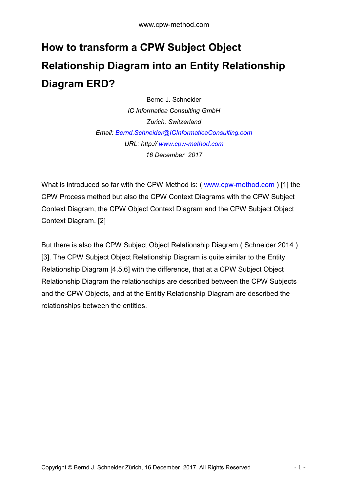## **How to transform a CPW Subject Object Relationship Diagram into an Entity Relationship Diagram ERD?**

Bernd J. Schneider *IC Informatica Consulting GmbH Zurich, Switzerland Email: [Bernd.Schneider@ICInformaticaConsulting.com](mailto:Bernd.Schneider@ICInformaticaConsulting.com) URL: http:// [www.cpw-method.com](http://www.cpw-method.com/) 16 December 2017*

What is introduced so far with the CPW Method is: ( [www.cpw-method.com](http://www.cpw-method.com/) ) [1] the CPW Process method but also the CPW Context Diagrams with the CPW Subject Context Diagram, the CPW Object Context Diagram and the CPW Subject Object Context Diagram. [2]

But there is also the CPW Subject Object Relationship Diagram ( Schneider 2014 ) [3]. The CPW Subject Object Relationship Diagram is quite similar to the Entity Relationship Diagram [4,5,6] with the difference, that at a CPW Subject Object Relationship Diagram the relationschips are described between the CPW Subjects and the CPW Objects, and at the Entitiy Relationship Diagram are described the relationships between the entities.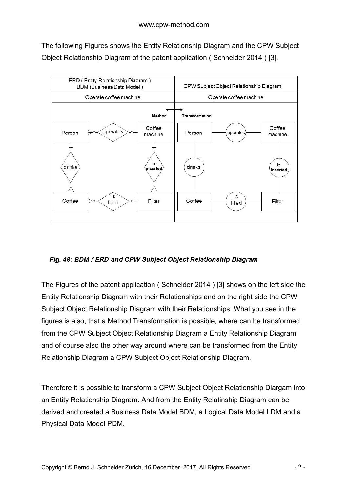The following Figures shows the Entity Relationship Diagram and the CPW Subject Object Relationship Diagram of the patent application ( Schneider 2014 ) [3].



## Fig. 48: BDM / ERD and CPW Subject Object Relationship Diagram

The Figures of the patent application ( Schneider 2014 ) [3] shows on the left side the Entity Relationship Diagram with their Relationships and on the right side the CPW Subject Object Relationship Diagram with their Relationships. What you see in the figures is also, that a Method Transformation is possible, where can be transformed from the CPW Subject Object Relationship Diagram a Entity Relationship Diagram and of course also the other way around where can be transformed from the Entity Relationship Diagram a CPW Subject Object Relationship Diagram.

Therefore it is possible to transform a CPW Subject Object Relationship Diargam into an Entity Relationship Diagram. And from the Entity Relatinship Diagram can be derived and created a Business Data Model BDM, a Logical Data Model LDM and a Physical Data Model PDM.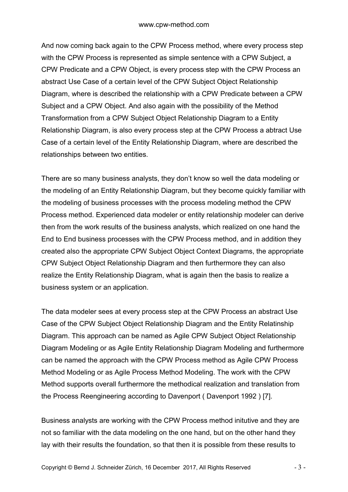And now coming back again to the CPW Process method, where every process step with the CPW Process is represented as simple sentence with a CPW Subject, a CPW Predicate and a CPW Object, is every process step with the CPW Process an abstract Use Case of a certain level of the CPW Subject Object Relationship Diagram, where is described the relationship with a CPW Predicate between a CPW Subject and a CPW Object. And also again with the possibility of the Method Transformation from a CPW Subject Object Relationship Diagram to a Entity Relationship Diagram, is also every process step at the CPW Process a abtract Use Case of a certain level of the Entity Relationship Diagram, where are described the relationships between two entities.

There are so many business analysts, they don't know so well the data modeling or the modeling of an Entity Relationship Diagram, but they become quickly familiar with the modeling of business processes with the process modeling method the CPW Process method. Experienced data modeler or entity relationship modeler can derive then from the work results of the business analysts, which realized on one hand the End to End business processes with the CPW Process method, and in addition they created also the appropriate CPW Subject Object Context Diagrams, the appropriate CPW Subject Object Relationship Diagram and then furthermore they can also realize the Entity Relationship Diagram, what is again then the basis to realize a business system or an application.

The data modeler sees at every process step at the CPW Process an abstract Use Case of the CPW Subject Object Relationship Diagram and the Entity Relatinship Diagram. This approach can be named as Agile CPW Subject Object Relationship Diagram Modeling or as Agile Entity Relationship Diagram Modeling and furthermore can be named the approach with the CPW Process method as Agile CPW Process Method Modeling or as Agile Process Method Modeling. The work with the CPW Method supports overall furthermore the methodical realization and translation from the Process Reengineering according to Davenport ( Davenport 1992 ) [7].

Business analysts are working with the CPW Process method initutive and they are not so familiar with the data modeling on the one hand, but on the other hand they lay with their results the foundation, so that then it is possible from these results to